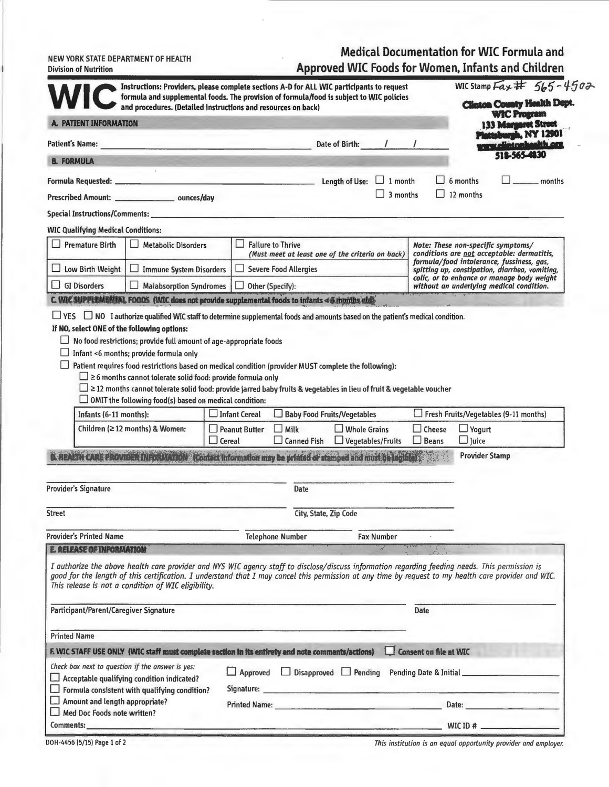Medical Documentation for WIC Formula and

|                              | NEW YORK STATE DEPARTMENT OF HEALTH |
|------------------------------|-------------------------------------|
| <b>Division of Nutrition</b> |                                     |

| <b>Approved WIC Foods for Women, Infants and Children</b> |  |  |  |  |
|-----------------------------------------------------------|--|--|--|--|
|                                                           |  |  |  |  |

|                                                                      |                                                                                                                                          | Instructions: Providers, please complete sections A-D for ALL WIC participants to request<br>formula and supplemental foods. The provision of formula/food is subject to WIC policies                                                                                                                   |                               | WIC Stamp Fax # 565-4502                                                                                                                                                                                                       |
|----------------------------------------------------------------------|------------------------------------------------------------------------------------------------------------------------------------------|---------------------------------------------------------------------------------------------------------------------------------------------------------------------------------------------------------------------------------------------------------------------------------------------------------|-------------------------------|--------------------------------------------------------------------------------------------------------------------------------------------------------------------------------------------------------------------------------|
|                                                                      |                                                                                                                                          | and procedures. (Detailed instructions and resources on back)                                                                                                                                                                                                                                           |                               | <b>Clinton County Health Dept.</b><br><b>WIC Program</b>                                                                                                                                                                       |
| A. PATIENT INFORMATION                                               |                                                                                                                                          |                                                                                                                                                                                                                                                                                                         |                               | 133 Margaret Street                                                                                                                                                                                                            |
| <b>Patient's Name:</b>                                               |                                                                                                                                          | Date of Birth:                                                                                                                                                                                                                                                                                          | $1 \quad 1$                   | stoburgh, NY 12901<br><u>relintonhankh.org</u>                                                                                                                                                                                 |
| <b>B. FORMULA</b>                                                    |                                                                                                                                          |                                                                                                                                                                                                                                                                                                         |                               | 512-565-4830                                                                                                                                                                                                                   |
|                                                                      |                                                                                                                                          |                                                                                                                                                                                                                                                                                                         |                               | 6 months<br>$-$ months                                                                                                                                                                                                         |
|                                                                      | Prescribed Amount: __________________________ ounces/day                                                                                 |                                                                                                                                                                                                                                                                                                         | 3 months                      | 12 months                                                                                                                                                                                                                      |
|                                                                      |                                                                                                                                          |                                                                                                                                                                                                                                                                                                         |                               |                                                                                                                                                                                                                                |
| <b>WIC Qualifying Medical Conditions:</b>                            |                                                                                                                                          |                                                                                                                                                                                                                                                                                                         |                               |                                                                                                                                                                                                                                |
| <b>Premature Birth</b>                                               | <b>Metabolic Disorders</b>                                                                                                               | ш<br><b>Failure to Thrive</b><br>(Must meet at least one of the criteria on back)                                                                                                                                                                                                                       |                               | Note: These non-specific symptoms/<br>conditions are not acceptable: dermatitis,                                                                                                                                               |
| Low Birth Weight<br>ப                                                | Immune System Disorders                                                                                                                  | <b>Severe Food Allergies</b>                                                                                                                                                                                                                                                                            |                               | formula/food intolerance, fussiness, gas,<br>spitting up, constipation, diarrhea, vomiting,                                                                                                                                    |
| $\Box$ GI Disorders                                                  | Malabsorption Syndromes                                                                                                                  | $\Box$ Other (Specify):                                                                                                                                                                                                                                                                                 |                               | colic, or to enhance or manage body weight<br>without an underlying medical condition.                                                                                                                                         |
|                                                                      |                                                                                                                                          | C. WIC SUPPLEMENTAL FOODS (WIC does not provide supplemental foods to infants <6 months old)                                                                                                                                                                                                            |                               |                                                                                                                                                                                                                                |
|                                                                      | $\Box$ $\geq$ 6 months cannot tolerate solid food: provide formula only<br>$\Box$ OMIT the following food(s) based on medical condition: | Patient requires food restrictions based on medical condition (provider MUST complete the following):<br>$\square$ $\ge$ 12 months cannot tolerate solid food: provide jarred baby fruits & vegetables in lieu of fruit & vegetable voucher                                                             |                               |                                                                                                                                                                                                                                |
| Infants (6-11 months):                                               |                                                                                                                                          | Infant Cereal<br>Baby Food Fruits/Vegetables                                                                                                                                                                                                                                                            |                               | Fresh Fruits/Vegetables (9-11 months)                                                                                                                                                                                          |
|                                                                      | Children ( $\geq$ 12 months) & Women:                                                                                                    | Peanut Butter<br>Milk<br>$\Box$ Whole Grains<br>$\square$ Cereal<br>$\Box$ Vegetables/Fruits<br><b>Canned Fish</b>                                                                                                                                                                                      | $\Box$ Cheese<br>$\Box$ Beans | $\Box$ Yogurt<br>$\Box$ ]uice                                                                                                                                                                                                  |
|                                                                      |                                                                                                                                          | REALTH CARE PROVIDER INFORMATION (Contact Information may be printed or stamped and must be lagible)                                                                                                                                                                                                    |                               | <b>Provider Stamp</b>                                                                                                                                                                                                          |
| Provider's Signature                                                 |                                                                                                                                          | Date                                                                                                                                                                                                                                                                                                    |                               |                                                                                                                                                                                                                                |
|                                                                      |                                                                                                                                          |                                                                                                                                                                                                                                                                                                         |                               |                                                                                                                                                                                                                                |
| Street                                                               |                                                                                                                                          | City, State, Zip Code                                                                                                                                                                                                                                                                                   |                               |                                                                                                                                                                                                                                |
| <b>Provider's Printed Name</b>                                       |                                                                                                                                          | <b>Telephone Number</b><br><b>Fax Number</b>                                                                                                                                                                                                                                                            |                               |                                                                                                                                                                                                                                |
| <b>E. RELEASE OF INFORMATION</b>                                     |                                                                                                                                          |                                                                                                                                                                                                                                                                                                         |                               |                                                                                                                                                                                                                                |
|                                                                      | This release is not a condition of WIC eligibility.                                                                                      | I authorize the above health care provider and NYS WIC agency staff to disclose/discuss information regarding feeding needs. This permission is<br>good for the length of this certification. I understand that I may cancel this permission at any time by request to my health care provider and WIC. |                               |                                                                                                                                                                                                                                |
| Participant/Parent/Caregiver Signature                               |                                                                                                                                          |                                                                                                                                                                                                                                                                                                         | Date                          |                                                                                                                                                                                                                                |
| <b>Printed Name</b>                                                  |                                                                                                                                          |                                                                                                                                                                                                                                                                                                         |                               |                                                                                                                                                                                                                                |
|                                                                      |                                                                                                                                          | F. WIC STAFF USE ONLY (WIC staff must complete section in its entirety and note comments/actions)                                                                                                                                                                                                       | Consent on file at WIC        |                                                                                                                                                                                                                                |
| Check box next to question if the answer is yes:                     |                                                                                                                                          | □ Approved □ Disapproved □ Pending Pending Date & Initial                                                                                                                                                                                                                                               |                               |                                                                                                                                                                                                                                |
| $\Box$ Acceptable qualifying condition indicated?                    | $\Box$ Formula consistent with qualifying condition?                                                                                     | and the control of the control of the control of the control of the control of the control of the control of the<br>Signature:                                                                                                                                                                          |                               |                                                                                                                                                                                                                                |
| $\Box$ Amount and length appropriate?<br>Med Doc Foods note written? |                                                                                                                                          | <b>Printed Name:</b> Printed Name:                                                                                                                                                                                                                                                                      |                               | Date: the contract of the contract of the contract of the contract of the contract of the contract of the contract of the contract of the contract of the contract of the contract of the contract of the contract of the cont |
|                                                                      |                                                                                                                                          |                                                                                                                                                                                                                                                                                                         |                               | WIC ID $#$                                                                                                                                                                                                                     |

*This institution is an equal opportunity provider and employer.* 

DOH-4456 (5/15) Page 1 of 2